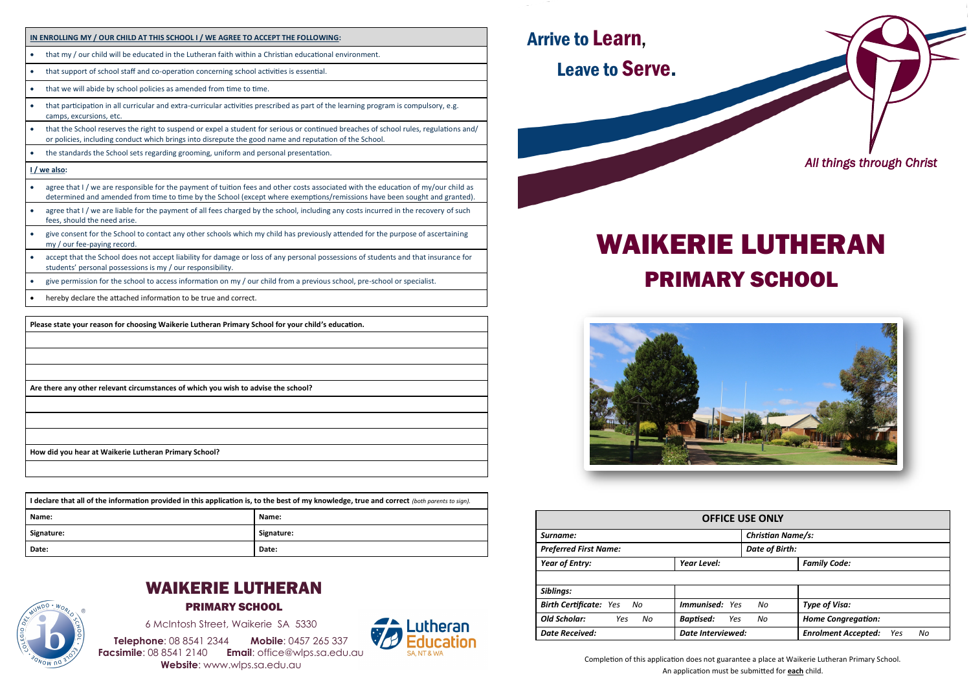



PRIMARY SCHOOL

6 McIntosh Street, Waikerie SA 5330

**Telephone**: 08 8541 2344 **Mobile**: 0457 265 337 **Facsimile**: 08 8541 2140 **Email**: office@wlps.sa.edu.au **Website**: www.wlps.sa.edu.au





# WAIKERIE LUTHERAN PRIMARY SCHOOL



| <b>OFFICE USE ONLY</b>              |                          |                          |                                         |  |  |  |  |  |  |
|-------------------------------------|--------------------------|--------------------------|-----------------------------------------|--|--|--|--|--|--|
| Surname:                            |                          | <b>Christian Name/s:</b> |                                         |  |  |  |  |  |  |
| <b>Preferred First Name:</b>        |                          | <b>Date of Birth:</b>    |                                         |  |  |  |  |  |  |
| <b>Year of Entry:</b>               | Year Level:              |                          | <b>Family Code:</b>                     |  |  |  |  |  |  |
|                                     |                          |                          |                                         |  |  |  |  |  |  |
| Siblings:                           |                          |                          |                                         |  |  |  |  |  |  |
| <b>Birth Certificate: Yes</b><br>No | <b>Immunised:</b> Yes    | No                       | <b>Type of Visa:</b>                    |  |  |  |  |  |  |
| <b>Old Scholar:</b><br>No<br>Yes    | <b>Baptised:</b><br>Yes  | No                       | <b>Home Congregation:</b>               |  |  |  |  |  |  |
| <b>Date Received:</b>               | <b>Date Interviewed:</b> |                          | <b>Enrolment Accepted:</b><br>No<br>Yes |  |  |  |  |  |  |

Completion of this application does not guarantee a place at Waikerie Lutheran Primary School. An application must be submitted for **each** child.

### **IN ENROLLING MY / OUR CHILD AT THIS SCHOOL I / WE AGREE TO ACCEPT THE FOLLOWING:**

- that my / our child will be educated in the Lutheran faith within a Christian educational environment.
- that support of school staff and co-operation concerning school activities is essential.
- that we will abide by school policies as amended from time to time.
- that participation in all curricular and extra-curricular activities prescribed as part of the learning program is compulsory, e.g. camps, excursions, etc.
- that the School reserves the right to suspend or expel a student for serious or continued breaches of school rules, regulations and/ or policies, including conduct which brings into disrepute the good name and reputation of the School.
- the standards the School sets regarding grooming, uniform and personal presentation.

#### **I / we also:**

- agree that I / we are responsible for the payment of tuition fees and other costs associated with the education of my/our child as determined and amended from time to time by the School (except where exemptions/remissions have been sought and granted).
- agree that I / we are liable for the payment of all fees charged by the school, including any costs incurred in the recovery of such fees, should the need arise.
- give consent for the School to contact any other schools which my child has previously attended for the purpose of ascertaining my / our fee-paying record.
- accept that the School does not accept liability for damage or loss of any personal possessions of students and that insurance for students' personal possessions is my / our responsibility.
- give permission for the school to access information on my / our child from a previous school, pre-school or specialist.
- hereby declare the attached information to be true and correct.

**Please state your reason for choosing Waikerie Lutheran Primary School for your child's education.**

**Are there any other relevant circumstances of which you wish to advise the school?**

**How did you hear at Waikerie Lutheran Primary School?**

| I declare that all of the information provided in this application is, to the best of my knowledge, true and correct (both parents to sign). |            |  |  |  |  |  |
|----------------------------------------------------------------------------------------------------------------------------------------------|------------|--|--|--|--|--|
| Name:<br>Name:                                                                                                                               |            |  |  |  |  |  |
| Signature:                                                                                                                                   | Signature: |  |  |  |  |  |
| Date:                                                                                                                                        | Date:      |  |  |  |  |  |

## Arrive to Learn, Leave to Serve.